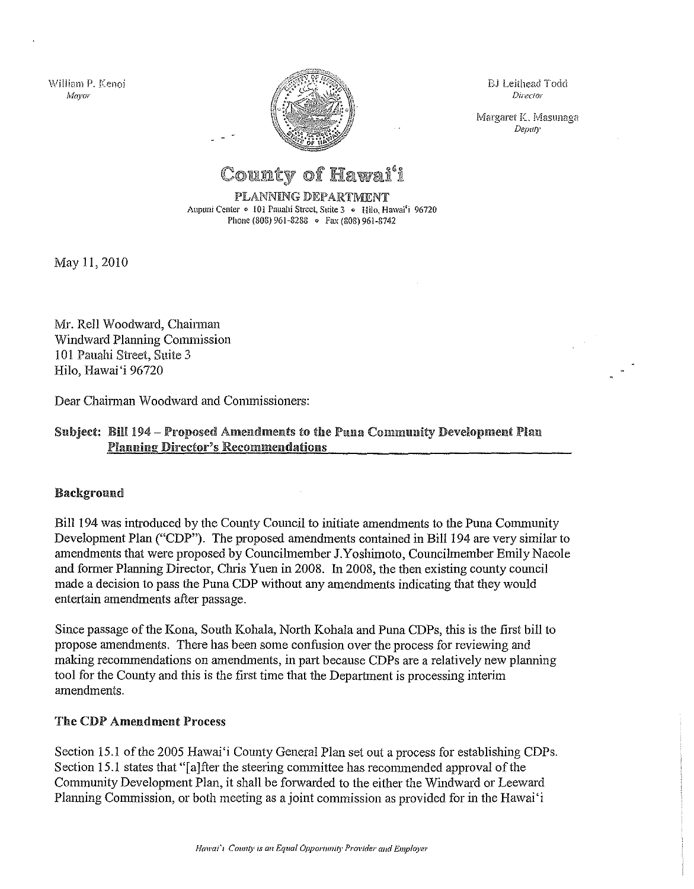\ViIli8111 P. Kenoi *Mayor*



BJ Leithead Todd Direcfor

Margaret K. Masunaga *Deputy*

# County of Hawai<sup>'</sup>i

PLANNING DEPARTMENT Aupuni Center · 101 Pauahi Street, Suite 3 · Hilo, Hawai'i 96720 Phone (808) 961-8288 • Fax (808) 961-8742

May 11, 2010

Mr. Rell Woodward, Chainnan Windward Planning Commission ]0] Pauahi Street, Suite 3 Hilo, Hawai'i 96720

Dear Chairman Woodward and Commissioners:

#### Subject: Bill 194 - Proposed Amendments to the Puna Community Development Plan Planning Director's Recommendations

#### Background

Bill 194 was introduced by the County Council to initiate amendments to the Puna Community Development Plan ("CDP"). The proposed amendments contained in Bill 194 are very similar to amendments that were proposed by Councilmember J.Yoshimoto, Councilmember Emily Naeole and former Planning Director, Chris Yuen in 2008. In 2008, the then existing county council made a decision to pass the Puna CDP without any amendments indicating that they would entertain amendments after passage.

Since passage of the Kona, South Kohala, North Kohala and Puna CDPs, this is the first bill to propose amendments. There has been some confusion over the process for reviewing and making recommendations on amendments, in part because CDPs are a relatively new planning tool for the County and this is the first time that the Department is processing interim amendments.

#### The CDP Amendment Process

Section 15.1 of the 2005 Hawai'i County General Plan set out a process for establishing CDPs. Section 15.1 states that "[a]fter the steering committee has recommended approval of the Community Development Plan, it shall be forwarded to the either the Windward or Leeward Planning Commission, or both meeting as a joint commission as provided for in the Hawai'i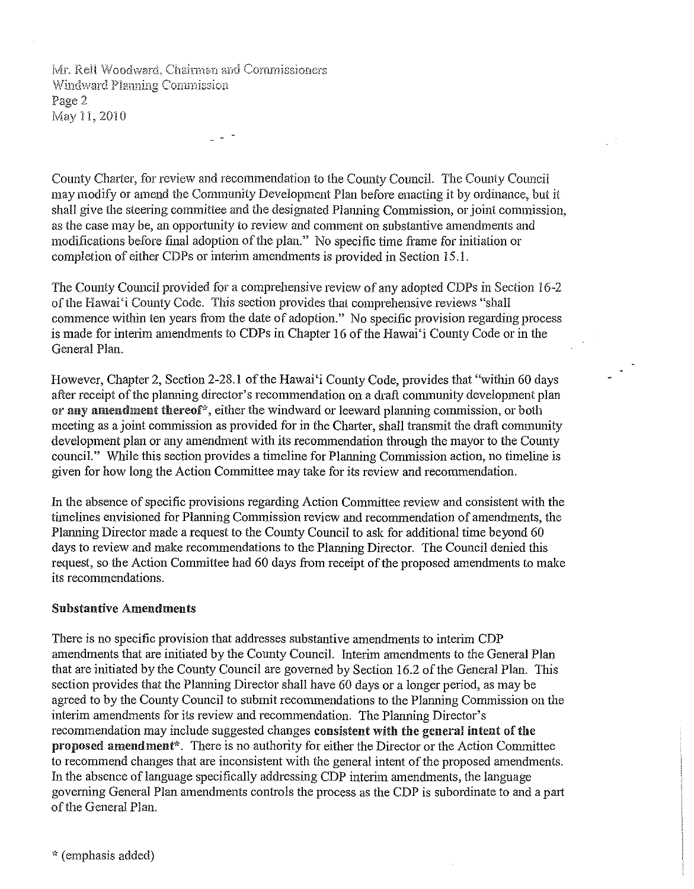Mr. Rell Woodward, Chairman and Commissioners Windward Planning Commission Page 2 May 11, 2010

County Charter, for review and recommendation to the County Council. The County Council may modify or amend the Commnnity Development Plan before enacting it by ordinance, but it shall give the steering committee and the designated Planning Commission, or joint commission, as the case may be, an opportunity to review and comment on substantive amendments and modifications before final adoption of the plan." No specific time frame for initiation or completion of either CDPs or interim amendments is provided in Section 15.1.

The County Council provided for a comprehensive review of any adopted CDPs in Section 16-2 of the Hawai'i County Code. This section provides that comprehensive reviews "shall commence within ten years from the date of adoption." No specific provision regarding process is made for interim amendments to CDPs in Chapter 16 of the Hawai'i County Code or in the General Plan.

However, Chapter 2, Section 2-28.1 of the Hawai'i County Code, provides that "within 60 days after receipt of the planning director's recommendation on a draft community development plan or any amendment thereof<sup>\*</sup>, either the windward or leeward planning commission, or both meeting as a joint commission as provided for in the Charter, shall transmit the draft community development plan or any amendment with its recommendation throngh the mayor to the County council." While this section provides a timeline for Planning Commission action, no timeline is given for how long the Action Committee may take for its review and recommendation.

In the absence of specific provisions regarding Action Committee review and consistent with the timelines envisioned for Planning Commission review and recommendation of amendments, the Planning Director made a request to the County Council to ask for additional time beyond 60 days to review and make recommendations to the Planning Director. The Council denied this request, so the Action Committee had 60 days from receipt of the proposed amendments to make its recommendations.

#### Substantive Amendments

There is no specific provision that addresses substantive amendments to interim CDP amendments that are initiated by the County Council. Interim amendments to the General Plan that are initiated by the County Council are governed by Section 16.2 of the General Plan. This section provides that the Planning Director shall have 60 days or a longer period, as may be agreed to by the County Council to submit recommendations to the Planning Commission on the interim amendments for its review and recommendation. The Planning Director's recommendation may include suggested changes consistent with the general intent of the proposed amendment\*. There is no authority for either the Director or the Action Committee to recommend changes that are inconsistent with the general intent of the proposed amendments. In the absence of language specifically addressing CDP interim amendments, the language governing General Plan amendments controls the process as the CDP is subordinate to and a part of the General Plan.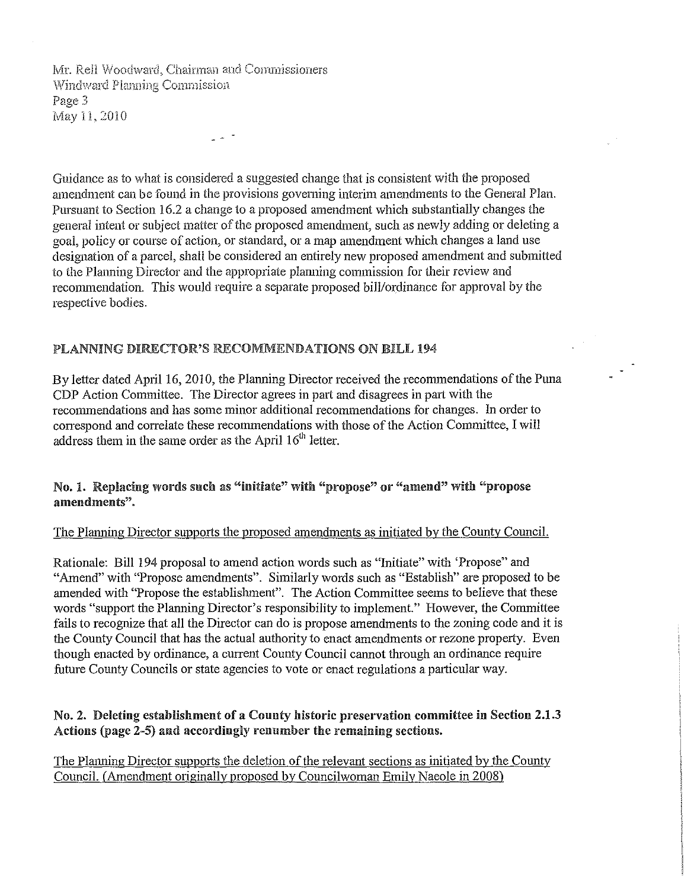Mr. Rell Woodward, Chairman and Commissioners Windward Planning Commission Page 3 May 11, 2010

Guidance as to what is considered a suggested change that is consistent with the proposed amendment can be found in the provisions goveming interim amendments to the General Plan. Pursuant to Section 16.2 a change to a proposed amendment which substantially changes the general intent or subject matter of the proposed amendment, such as newly adding or deleting a goal, policy or course of action, or standard, or a map amendment which changes a land use designation of a parcel, shall be considered an entirely new proposed amendment and submitted to the Planning Director and the appropriate planning commission for their review and recommendation. This would require a separate proposed bill/ordinance for approval by the respective bodies.

#### PLANNING DIRECTOR'S RECOMMENDATIONS ON BILL 194

By letter dated April 16, 2010, the Planning Director received the recommendations of the Puna CDP Action Committee. The Director agrees in part and disagrees in part with the recommendations and has some minor additional recommendations for changes. In order to correspond and correlate these recommendations with those of the Action Committee, I will address them in the same order as the April  $16<sup>th</sup>$  letter.

No.1. Replacing words snch as "initiate" with "propose" or "amend" with "propose amendments".

#### The Planning Director supports the proposed amendments as initiated by the County Council.

Rationale: Bill 194 proposal to amend action words such as "Initiate" with 'Propose" and "Amend" with "Propose amendments". Similarly words such as "Establish" are proposed to be amended with "Propose the establishment". The Action Committee seems to believe that these words "support the Planning Director's responsibility to implement." However, the Committee fails to recognize that all the Director can do is propose amendments to the zoning code and it is the County Council that has the actual authority to enact amendments or rezone property. Even though enacted by ordinance, a current County Council cannot through an ordinance require future County Councils or state agencies to vote or enact regulations a particular way.

#### No.2. Deleting establishment of a County historic preservation committee in Section 2.1.3 Actions (page 2-5) and accordingly renumber the remaining sections.

The Planning Director supports the deletion of the relevant sections as initiated by the County Council. (Amendment originally proposed by Councilwoman Emily Naeole in 2008)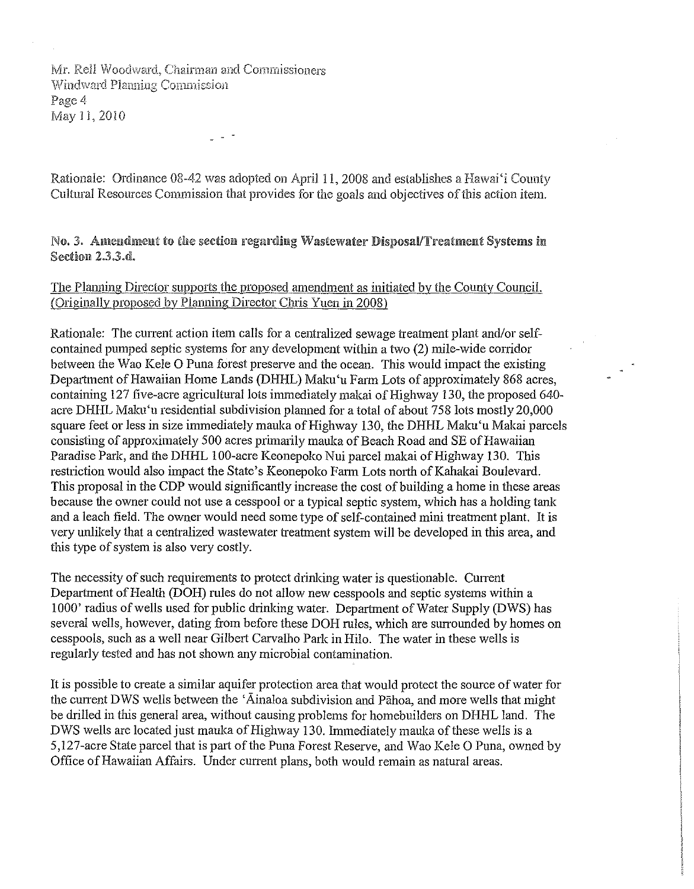Mr. Rell Woodward, Chairman and Commissioners Windward Planning Commission Page 4 May ll, 2010

Rationale: Ordinance 08-42 was adopted on April I I, 2008 and establishes a Hawai'i County Cultural Resources Commission that provides for the goals and objectives of this action item.

#### No. 3. Amendment to the section regarding Wastewater Disposal/Treatment Systems in Section 2.3.3.d.

#### The Planning Director supports the proposed amendment as initiated by the County Council. (Originally proposed by Planning Director Chris Yuen in 2008)

Rationale: The current action item calls for a centralized sewage treatment plant and/or selfcontained pumped septic systems for any development within a two (2) mile-wide corridor between the Wao Kele O Puna forest preserve and the ocean. This would impact the existing Department of Hawaiian Home Lands (DHHL) Maku'u Farm Lots of approximately 868 acres, containing 127 five-acre agricultural lots immediately makai of Highway 130, the proposed 640acre DHHL Maku'u residential subdivision planned for a total of about 758 lots mostly 20,000 square feet or less in size immediately mauka of Highway 130, the DHHL Maku'u Makai parcels consisting of approximately 500 acres primarily mauka of Beach Road and SE of Hawaiian Paradise Park, and the DHHL 100-acre Keonepoko Nui parcel makai of Highway 130. This restriction would also impact the State's Keonepoko Farm Lots north of Kahakai Boulevard. This proposal in the CDP would significantly increase the cost of building a home in these areas because the owner could not use a cesspool or a typical septic system, which has a holding tanle and a leach field. The owner would need some type of self-contained mini treatment plant. It is very unlikely that a centralized wastewater treatment system wiII be developed in this area, and this type of system is also very costly.

The necessity of such requirements to protect drinking water is questionable. Current Department of Health (DOH) rules do not allow new cesspools and septic systems within a 1000' radius of wells used for public drinking water. Department of Water Supply (DWS) has several weIls, however, dating from before these DOH rules, which are surrounded by homes on cesspools, such as a well near Gilbert Carvalho Park in Hilo. The water in these wells is regularly tested and has not shown any microbial contamination.

It is possible to create a similar aquifer protection area that would protect the source ofwater for the current DWS wells between the 'Ainaloa subdivision and Pahoa, and more wells that might be driIled in this general area, without causing problems for homebuilders on DHHL land. The DWS wells are located just mauka of Highway 130. Immediately mauka of these wells is a 5,127-acre State parcel that is part of the Puna Forest Reserve, and Wao Kele O Puna, owned by Office of Hawaiian Affairs. Under current plans, both would remain as natural areas.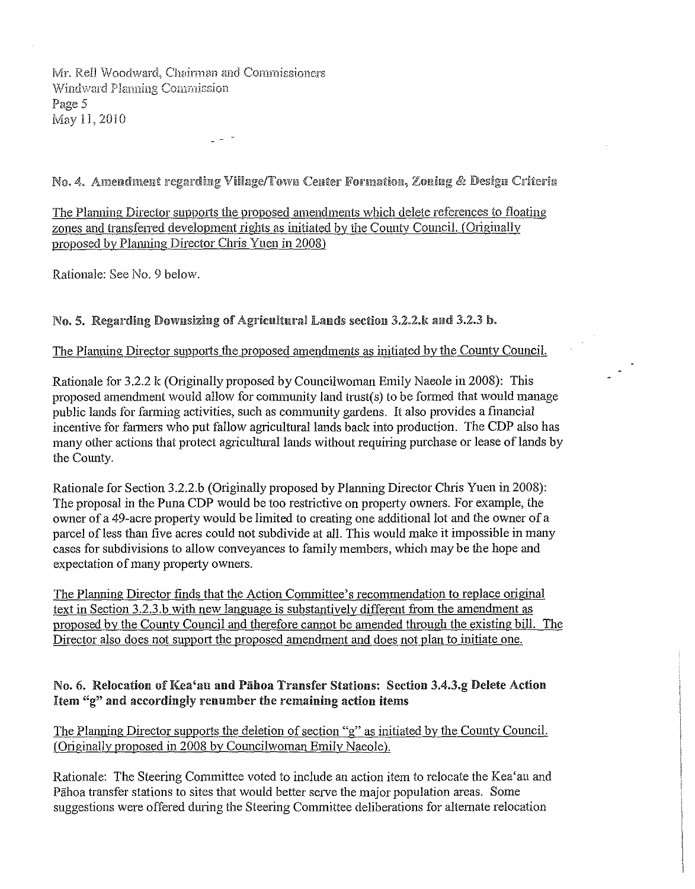Mr. Rell Woodward, Chairman and Commissioners Windward Planning Commission Page 5 May 11,2010

No. 4. Amendment regarding Village/Town Center Formation, Zoning & Design Criteria

The Planning Director supports the proposed amendments which delete references to floating zones and transferred development rights as initiated by the County Council. (Originally proposed by Planning Director Chris Yuen in 2008)

Rationale: See No. 9 below.

# No. 5. Regarding Downsizing of Agricultural Lands section 3.2.2.k and 3.2.3 b.

## The Planning Director supports the proposed amendments as initiated by the County Council.

Rationale for 3.2.2 k (Originally proposed by Councilwoman Emily Naeole in 2008): This proposed amendment would allow for community land trust(s) to be fonned that would manage public lands for farming activities, such as community gardens. It also provides a financial incentive for farmers who put fallow agricultural lands back into production. The CDP also has many other actions that protect agricultural lands without requiring purchase or lease of lands by the County.

Rationale for Section 3.2.2.b (Originally proposed by Planning Director Chris Yuen in 2008): The proposal in the Puna CDP would be too restrictive on property owners. For example, the owner of a 49-acre property would be limited to creating one additional lot and the owner of a parcel of less than five acres could not subdivide at all. This would make it impossible in many cases for subdivisions to allow conveyances to family members, which may be the hope and expectation of many property owners.

The Planning Director finds that the Action Committee's recommendation to replace original text in Section  $3.2.3.b$  with new language is substantively different from the amendment as proposed by the County Council and therefore cannot be amended through the existing bill. The Director also does not support the proposed amendment and does not plan to initiate one.

#### No. 6. Relocation of Kea'au and Pāhoa Transfer Stations: Section 3.4.3.g Delete Action Item  $\mathscr{L}$  and accordingly renumber the remaining action items

The Planning Director supports the deletion of section "g" as initiated by the County Council. (Originally proposed in 2008 by Councilwoman Emily Naeole).

Rationale: The Steering Committee voted to include an action item to relocate the Kea'au and Pahoa transfer stations to sites that would better serve the major population areas. Some suggestions were offered during the Steering Committee deliberations for alternate relocation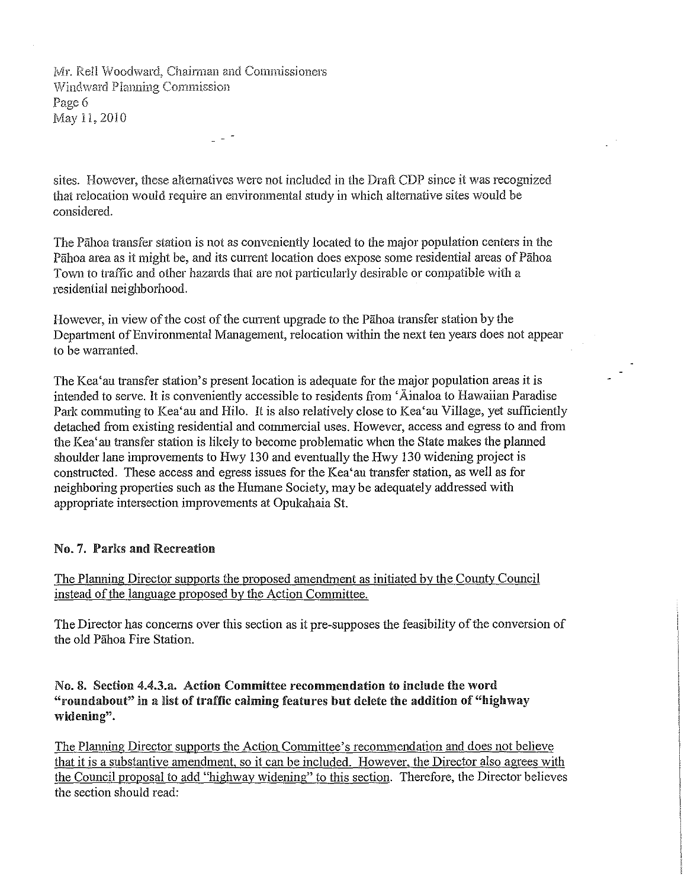Mr. Rell Woodward, Chairman and Commissioners Windward Planning Commission Page 6 May 11,2010

sites, However, these altematives were not included in the Draft CDP since it was recognized that relocation would require an environmental study in which aItemative sites would be considered,

The Pahoa transfer station is not as conveniently located to the major population centers in the Pahoa area as it might be, and its current location does expose some residential areas of Pahoa Town to traffic and other hazards that are not particularly desirable or compatible with a residential neighborhood,

However, in view of the cost of the current upgrade to the Pahoa transfer station by the Department of Environmental Management, relocation within the next ten years does not appear to be warranted.

The Kea'au transfer station's present location is adequate for the major population areas it is intended to serve. It is conveniently accessible to residents from 'Ainaloa to Hawaiian Paradise Park commuting to Kea'au and Hilo. It is also relatively close to Kea'au Village, yet sufficiently detached from existing residential and connnercial uses. However, access and egress to and from the Kea' au transfer station is likely to become problematic when the State makes the planned shoulder lane improvements to Hwy 130 and eventually the Hwy 130 widening project is constructed. These access and egress issues for the Kea'au transfer station, as well as for neighboring properties such as the Humane Society, may be adequately addressed with appropriate intersection improvements at Opukahaia St.

#### No.7. Parks and Recreation

The Planning Director supports the proposed amendment as initiated by the County Council instead of the language proposed by the Action Committee.

The Director has concerns over this section as it pre-supposes the feasibility of the conversion of the old Pahoa Fire Station.

No.8. Section 4.4.3.a. Action Committee recommendation to include the word "roundabout" in a list of traffic calming features but delete the addition of "highway" widening".

The Planning Director supports the Action Committee's recommendation and does not believe that it is a substantive amendment, so it can be included. However, the Director also agrees with the Council proposal to add "highway widening" to this section. Therefore, the Director believes the section should read: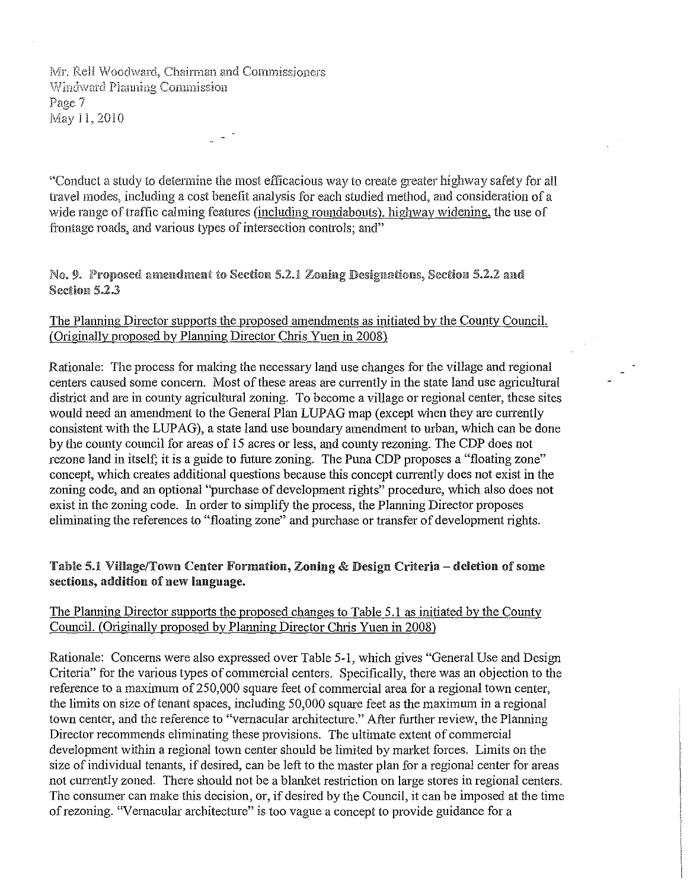Mr. Rell Woodward, Chairman and Commissioners Windward Planning Commission Page 7 May 11,2010

"Conduct a study to determine the most efficacious way to create greater highway safety for all travel modes, including a cost benefit analysis for each studied method, and consideration of a wide range of traffic calming features (including roundabouts), highway widening, the use of frontage roads, and various types of intersection controls; and"

#### No. 9. Proposed amendment to Section 5.2.1 Zoning Designations, Section 5.2.2 and Section 5.2.3

#### The Planning Director supports the proposed amendments as initiated by the County Council. (Originally proposed by Planning Director Chris Yuen in 2008)

Rationale: The process for making the necessary land use changes for the village and regional centers caused some concern. Most of these areas are currently in the state land use agricultural district and are in county agricultural zoning. To become a village or regional center, these sites would need an amendment to the General Plan LUPAG map (except when they are currently consistent with the LUPAG), a state land use boundary amendment to urban, which can be done by the county council for areas of 15 acres or less, and county rezoning. The CDP does not rezone land in itself; it is a guide to future zoning. The Puna CDP proposes a "floating zone" concept, which creates additional questions because this concept currently does not exist in the zoning code, and an optional "purchase of development rights" procedure, which also does not exist in the zoning code. In order to simplify the process, the Planning Director proposes eliminating the references to "floating zone" and purchase or transfer of development rights.

## Table 5.1 Village/Town Center Formation, Zoning & Design Criteria-deletion ofsome sections, addition of new language.

## The Planning Director supports the proposed changes to Table 5.1 as initiated by the County Council. (Originally proposed by Planning Director Chris Yuen in 2008)

Rationale: Concerns were also expressed over Table 5-1, which gives "General Use and Design Criteria" for the various types of commercial centers. Specifically, there was an objection to the reference to a maximum of250,000 square feet of commercial area for a regional town center, the limits on size of tenant spaces, including  $50,000$  square feet as the maximum in a regional town center, and the reference to "vernacular architecture." After further review, the Planning Director recommends eliminating these provisions. The ultimate extent of commercial development within a regional town center should be limited by market forces. Limits on the size of individual tenants, if desired, can be left to the master plan for a regional center for areas not currently zoned. There should not be a blanket restriction on large stores in regional centers. The consumer can make this decision, or, if desired by the Council, it can be imposed at the time of rezoning. "Vernacular architecture" is too vague a concept to provide guidance for a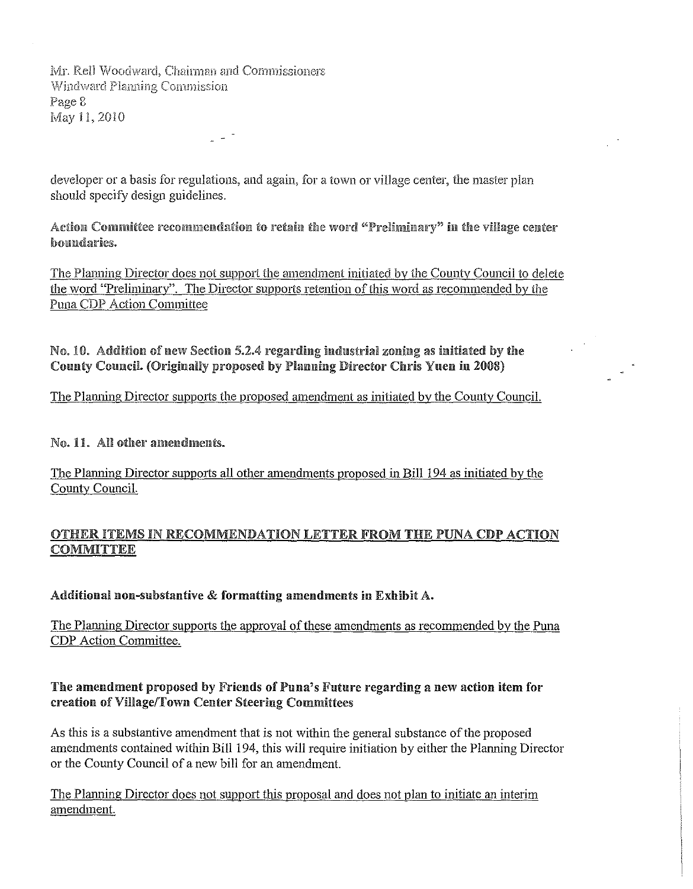*Mr. Rell Woodward, Chairman and Commissioners* Windward Planning Commission Page 8 May 11, 2010

developer or a basis for regulations, and again, for a town or village center, the master plan should specify design guidelines.

Action Committee recommendation to retain the word "Preliminary" in the village center boundaries.

The Planning Director does not support the amendment initiated by the County Council to delete the word "Preliminary". The Director supports retention of this word as recommended by the Puna CDP Action Committee

No. 10. Addition of new Section 5.2.4 regarding industrial zoning as initiated by the County Council. (Originally proposed by Planning Director Chris Yuen in 2008)

The Planning Director supports the proposed amendment as initiated by the County Council.

No. 11. All other amendments.

The Planning Director supports all other amendments proposed in Bill 194 as initiated by the County Council.

# OTHER ITEMS IN RECOMMENDATION LETTER FROM THE PUNA CDP ACTION **COMMITTEE**

Additional non-substantive & formatting amendments in Exhibit A.

The Planning Director supports the approval of these amendments as recommended by the Puna CDP Action Committee.

Tbe amendment proposed by Friends of Puna's Future regarding a new action item for creatiou of Village/Towu Center Steering Committees

As this is a substantive amendment that is not within the general substance of the proposed amendments contained within Bill 194, this will require initiation by either the Planning Director or the County Council of a new bill for an amendment.

The Planning Director does not support this proposal and does not plan to initiate an interim amendment.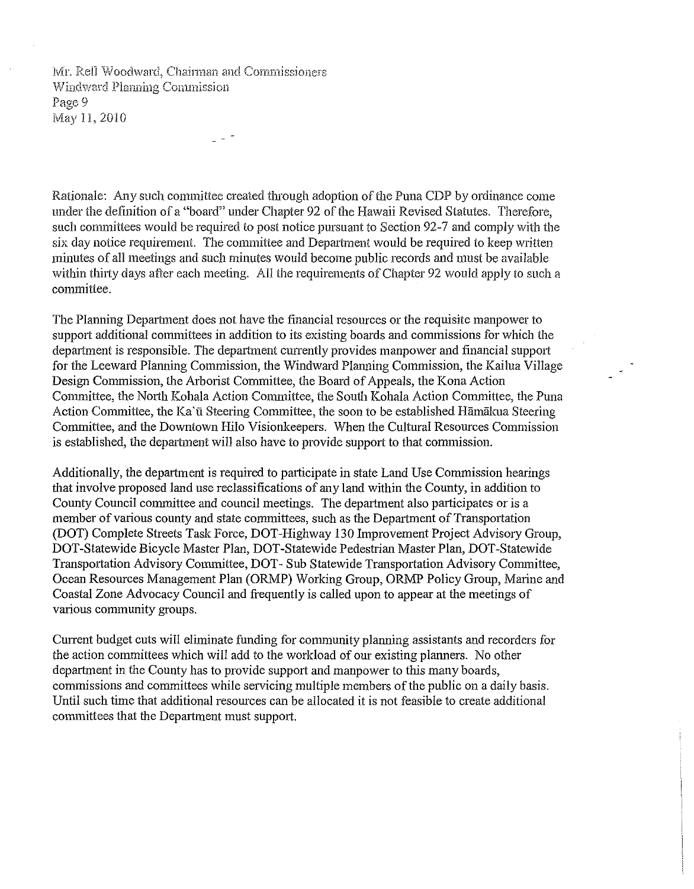Mr. Rell Woodward, Chairman and Commissioners Windward Planning Commission Page 9 May II, 2010

Rationale: Any such committee created through adoption of the Puna CDP by ordinance come under the definition of a "board" under Chapter 92 of the Hawaii Revised Statutes. Therefore, such committees would be required to post notice pursuant to Section 92-7 and comply with the six day notice requirement. The committee and Department would be required to keep written minutes of all meetings and such minutes would become public records and must be available within thirty days after each meeting. All the requirements of Chapter 92 would apply to such a committee.

The Planning Department does not have the financial resources or the requisite manpower to support additional committees in addition to its existing boards and commissions for which the department is responsible. The department currently provides manpower and financial support for the Leeward Planning Commission, the Windward Planning Commission, the Kailua Village Design Commission, the Arborist Committee, the Board of Appeals, the Kona Action Committee, the North Kohala Action Committee, the South Kohala Action Committee, the Puna Action Committee, the Ka'ū Steering Committee, the soon to be established Hamakua Steering Committee, and the Downtown Hilo Visionkeepers. When the Cultural Resources Commission is established, the department will also have to provide support to that commission.

Additionally, the department is required to participate in state Land Use Commission hearings that involve proposed land use reclassifications of any land within the County, in addition to County Council committee and council meetings. The department also participates or is a member of various county and state committees, such as the Department of Transportation (DOT) Complete Streets Task Force, DOT-Highway 130 Improvement Project Advisory Group, DOT-Statewide Bicycle Master Plan, DOT-Statewide Pedestrian Master Plan, DOT-Statewide Transportation Advisory Committee, DOT-Sub Statewide Transportation Advisory Committee, Ocean Resources Management Plan (ORMP) Working Group, ORMP Policy Group, Marine and Coastal Zone Advocacy Council and frequently is called upon to appear at the meetings of various community groups.

Current budget cuts will eliminate funding for community planning assistants and recorders for the action committees which will add to the workload of our existing planners. No other department in the County has to provide support and manpower to this many boards, commissions and committees while servicing multiple members of the public on a daily basis. Until such time that additional resources can be allocated it is not feasible to create additional committees that the Department must support.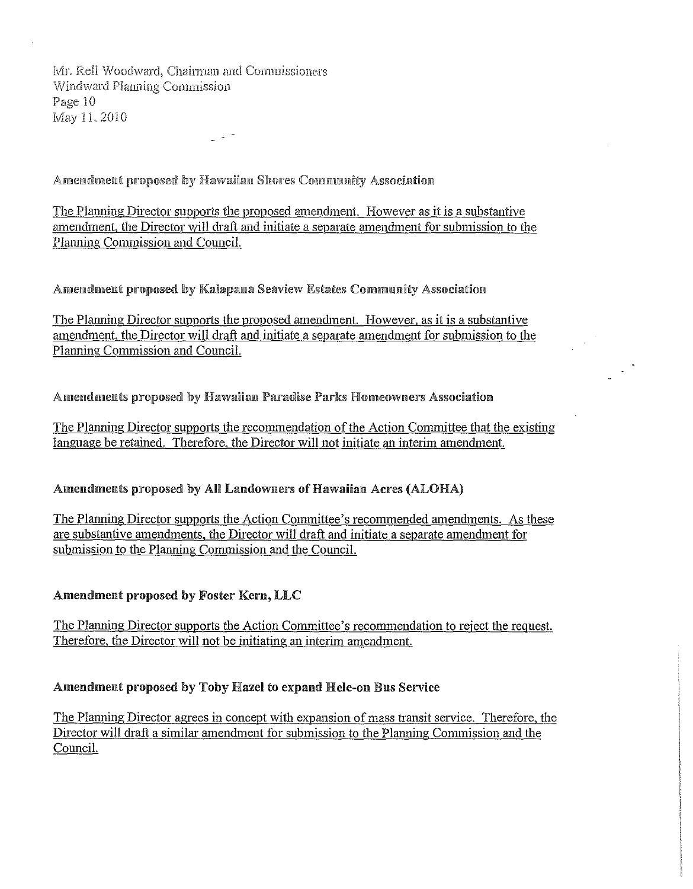Mr. Rell Woodward, Chairman and Commissioners Windward Planning Commission Page 10 May 11, 2010

Amendment proposed by Hawaiian Shores Community Association

The Planning Director supports the proposed amendment. However as it is a substantive amendment, the Director will draft and initiate a separate amendment for submission to the Planning Commission and Council.

Amendment proposed by Kalapana Seaview Estates Community Association

The Planning Director supports the proposed amendment. However, as it is a substantive amendment, the Director will draft and initiate a separate amendment for submission to the Planning Commission and Council.

#### Amendments proposed by Hawaiian Paradise Parks Homeowners Association

The Planning Director supports the recommendation of the Action Committee that the existing language be retained. Therefore, the Director will not initiate an interim amendment.

#### Amendments proposed by All Landowners of Hawaiian Acres (ALOHA)

The Planning Director supports the Action Committee's recommended amendments. As these are substantive amendments, the Director will draft and initiate a separate amendment for submission to the Planning Commission and the Council.

#### Amendment proposed by Foster Kern, LLC

The Planning Director supports the Action Committee's recommendation to reject the request. Therefore, the Director will not be initiating an interim amendment.

#### Amendment proposed by Toby Hazel to expand Hele-on Bus Service

The Planning Director agrees in concept with expansion of mass transit service. Therefore, the Director will draft a similar amendment for submission to the Planning Commission and the Council.